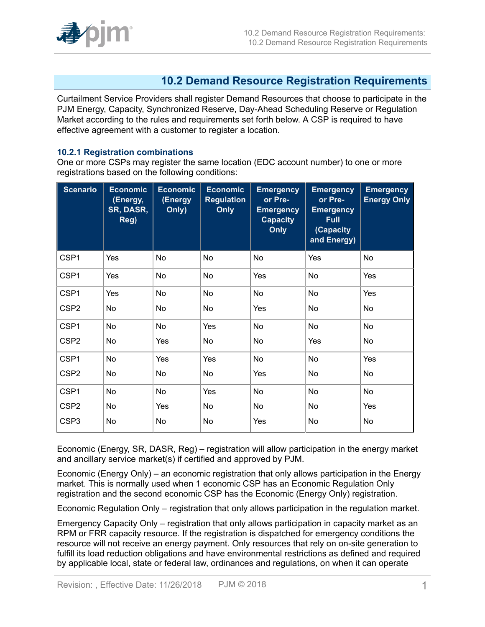

# **10.2 Demand Resource Registration Requirements**

Curtailment Service Providers shall register Demand Resources that choose to participate in the PJM Energy, Capacity, Synchronized Reserve, Day-Ahead Scheduling Reserve or Regulation Market according to the rules and requirements set forth below. A CSP is required to have effective agreement with a customer to register a location.

#### **10.2.1 Registration combinations**

One or more CSPs may register the same location (EDC account number) to one or more registrations based on the following conditions:

| <b>Scenario</b>  | <b>Economic</b><br>(Energy,<br><b>SR, DASR,</b><br>Reg) | <b>Economic</b><br>(Energy<br>Only) | <b>Economic</b><br><b>Regulation</b><br><b>Only</b> | <b>Emergency</b><br>or Pre-<br><b>Emergency</b><br><b>Capacity</b><br><b>Only</b> | <b>Emergency</b><br>or Pre-<br><b>Emergency</b><br><b>Full</b><br>(Capacity<br>and Energy) | <b>Emergency</b><br><b>Energy Only</b> |
|------------------|---------------------------------------------------------|-------------------------------------|-----------------------------------------------------|-----------------------------------------------------------------------------------|--------------------------------------------------------------------------------------------|----------------------------------------|
| CSP1             | Yes                                                     | No                                  | No                                                  | No                                                                                | Yes                                                                                        | No                                     |
| CSP1             | Yes                                                     | No                                  | No                                                  | Yes                                                                               | No                                                                                         | Yes                                    |
| CSP1             | Yes                                                     | No                                  | <b>No</b>                                           | No                                                                                | No                                                                                         | Yes                                    |
| CSP <sub>2</sub> | No                                                      | No                                  | No                                                  | Yes                                                                               | No                                                                                         | No                                     |
| CSP1             | No                                                      | No                                  | Yes                                                 | No                                                                                | No                                                                                         | No                                     |
| CSP <sub>2</sub> | No                                                      | Yes                                 | No                                                  | No                                                                                | Yes                                                                                        | No                                     |
| CSP1             | No                                                      | Yes                                 | Yes                                                 | No                                                                                | No                                                                                         | Yes                                    |
| CSP <sub>2</sub> | No                                                      | No                                  | No                                                  | Yes                                                                               | No                                                                                         | No                                     |
| CSP1             | No                                                      | No                                  | Yes                                                 | No                                                                                | <b>No</b>                                                                                  | No                                     |
| CSP <sub>2</sub> | No                                                      | Yes                                 | No                                                  | No                                                                                | No                                                                                         | Yes                                    |
| CSP <sub>3</sub> | No                                                      | No                                  | No                                                  | Yes                                                                               | No                                                                                         | No                                     |

Economic (Energy, SR, DASR, Reg) – registration will allow participation in the energy market and ancillary service market(s) if certified and approved by PJM.

Economic (Energy Only) – an economic registration that only allows participation in the Energy market. This is normally used when 1 economic CSP has an Economic Regulation Only registration and the second economic CSP has the Economic (Energy Only) registration.

Economic Regulation Only – registration that only allows participation in the regulation market.

Emergency Capacity Only – registration that only allows participation in capacity market as an RPM or FRR capacity resource. If the registration is dispatched for emergency conditions the resource will not receive an energy payment. Only resources that rely on on-site generation to fulfill its load reduction obligations and have environmental restrictions as defined and required by applicable local, state or federal law, ordinances and regulations, on when it can operate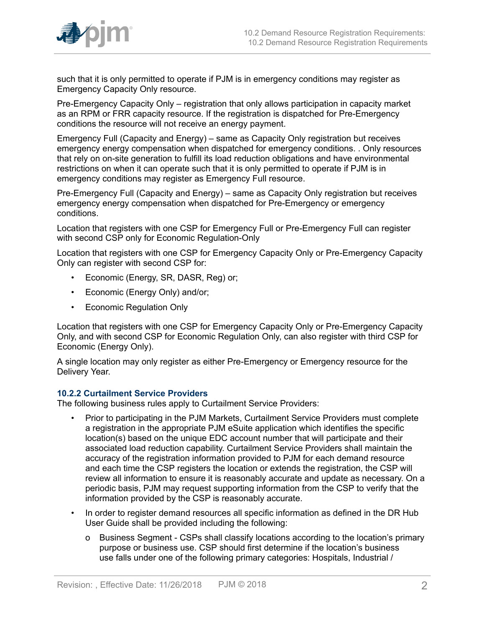

such that it is only permitted to operate if PJM is in emergency conditions may register as Emergency Capacity Only resource.

Pre-Emergency Capacity Only – registration that only allows participation in capacity market as an RPM or FRR capacity resource. If the registration is dispatched for Pre-Emergency conditions the resource will not receive an energy payment.

Emergency Full (Capacity and Energy) – same as Capacity Only registration but receives emergency energy compensation when dispatched for emergency conditions. . Only resources that rely on on-site generation to fulfill its load reduction obligations and have environmental restrictions on when it can operate such that it is only permitted to operate if PJM is in emergency conditions may register as Emergency Full resource.

Pre-Emergency Full (Capacity and Energy) – same as Capacity Only registration but receives emergency energy compensation when dispatched for Pre-Emergency or emergency conditions.

Location that registers with one CSP for Emergency Full or Pre-Emergency Full can register with second CSP only for Economic Regulation-Only

Location that registers with one CSP for Emergency Capacity Only or Pre-Emergency Capacity Only can register with second CSP for:

- Economic (Energy, SR, DASR, Reg) or;
- Economic (Energy Only) and/or;
- Economic Regulation Only

Location that registers with one CSP for Emergency Capacity Only or Pre-Emergency Capacity Only, and with second CSP for Economic Regulation Only, can also register with third CSP for Economic (Energy Only).

A single location may only register as either Pre-Emergency or Emergency resource for the Delivery Year.

## **10.2.2 Curtailment Service Providers**

The following business rules apply to Curtailment Service Providers:

- Prior to participating in the PJM Markets, Curtailment Service Providers must complete a registration in the appropriate PJM eSuite application which identifies the specific location(s) based on the unique EDC account number that will participate and their associated load reduction capability. Curtailment Service Providers shall maintain the accuracy of the registration information provided to PJM for each demand resource and each time the CSP registers the location or extends the registration, the CSP will review all information to ensure it is reasonably accurate and update as necessary. On a periodic basis, PJM may request supporting information from the CSP to verify that the information provided by the CSP is reasonably accurate.
- In order to register demand resources all specific information as defined in the DR Hub User Guide shall be provided including the following:
	- o Business Segment CSPs shall classify locations according to the location's primary purpose or business use. CSP should first determine if the location's business use falls under one of the following primary categories: Hospitals, Industrial /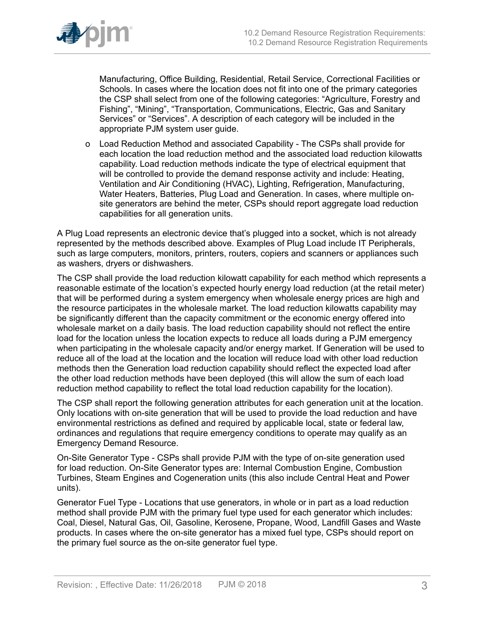

Manufacturing, Office Building, Residential, Retail Service, Correctional Facilities or Schools. In cases where the location does not fit into one of the primary categories the CSP shall select from one of the following categories: "Agriculture, Forestry and Fishing", "Mining", "Transportation, Communications, Electric, Gas and Sanitary Services" or "Services". A description of each category will be included in the appropriate PJM system user guide.

o Load Reduction Method and associated Capability - The CSPs shall provide for each location the load reduction method and the associated load reduction kilowatts capability. Load reduction methods indicate the type of electrical equipment that will be controlled to provide the demand response activity and include: Heating, Ventilation and Air Conditioning (HVAC), Lighting, Refrigeration, Manufacturing, Water Heaters, Batteries, Plug Load and Generation. In cases, where multiple onsite generators are behind the meter, CSPs should report aggregate load reduction capabilities for all generation units.

A Plug Load represents an electronic device that's plugged into a socket, which is not already represented by the methods described above. Examples of Plug Load include IT Peripherals, such as large computers, monitors, printers, routers, copiers and scanners or appliances such as washers, dryers or dishwashers.

The CSP shall provide the load reduction kilowatt capability for each method which represents a reasonable estimate of the location's expected hourly energy load reduction (at the retail meter) that will be performed during a system emergency when wholesale energy prices are high and the resource participates in the wholesale market. The load reduction kilowatts capability may be significantly different than the capacity commitment or the economic energy offered into wholesale market on a daily basis. The load reduction capability should not reflect the entire load for the location unless the location expects to reduce all loads during a PJM emergency when participating in the wholesale capacity and/or energy market. If Generation will be used to reduce all of the load at the location and the location will reduce load with other load reduction methods then the Generation load reduction capability should reflect the expected load after the other load reduction methods have been deployed (this will allow the sum of each load reduction method capability to reflect the total load reduction capability for the location).

The CSP shall report the following generation attributes for each generation unit at the location. Only locations with on-site generation that will be used to provide the load reduction and have environmental restrictions as defined and required by applicable local, state or federal law, ordinances and regulations that require emergency conditions to operate may qualify as an Emergency Demand Resource.

On-Site Generator Type - CSPs shall provide PJM with the type of on-site generation used for load reduction. On-Site Generator types are: Internal Combustion Engine, Combustion Turbines, Steam Engines and Cogeneration units (this also include Central Heat and Power units).

Generator Fuel Type - Locations that use generators, in whole or in part as a load reduction method shall provide PJM with the primary fuel type used for each generator which includes: Coal, Diesel, Natural Gas, Oil, Gasoline, Kerosene, Propane, Wood, Landfill Gases and Waste products. In cases where the on-site generator has a mixed fuel type, CSPs should report on the primary fuel source as the on-site generator fuel type.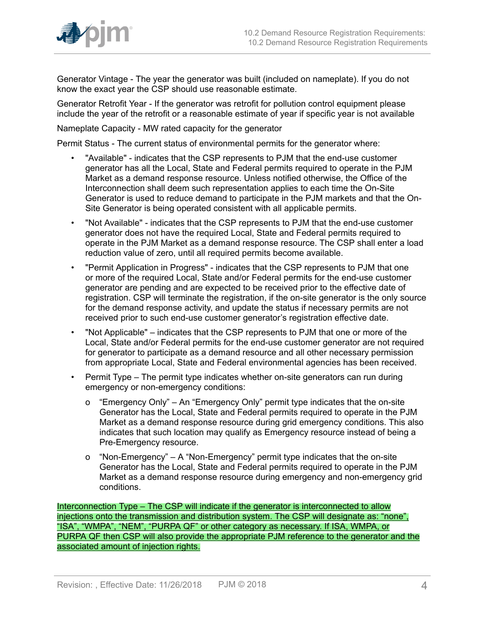

Generator Vintage - The year the generator was built (included on nameplate). If you do not know the exact year the CSP should use reasonable estimate.

Generator Retrofit Year - If the generator was retrofit for pollution control equipment please include the year of the retrofit or a reasonable estimate of year if specific year is not available

Nameplate Capacity - MW rated capacity for the generator

Permit Status - The current status of environmental permits for the generator where:

- "Available" indicates that the CSP represents to PJM that the end-use customer generator has all the Local, State and Federal permits required to operate in the PJM Market as a demand response resource. Unless notified otherwise, the Office of the Interconnection shall deem such representation applies to each time the On-Site Generator is used to reduce demand to participate in the PJM markets and that the On-Site Generator is being operated consistent with all applicable permits.
- "Not Available" indicates that the CSP represents to PJM that the end-use customer generator does not have the required Local, State and Federal permits required to operate in the PJM Market as a demand response resource. The CSP shall enter a load reduction value of zero, until all required permits become available.
- "Permit Application in Progress" indicates that the CSP represents to PJM that one or more of the required Local, State and/or Federal permits for the end-use customer generator are pending and are expected to be received prior to the effective date of registration. CSP will terminate the registration, if the on-site generator is the only source for the demand response activity, and update the status if necessary permits are not received prior to such end-use customer generator's registration effective date.
- "Not Applicable" indicates that the CSP represents to PJM that one or more of the Local, State and/or Federal permits for the end-use customer generator are not required for generator to participate as a demand resource and all other necessary permission from appropriate Local, State and Federal environmental agencies has been received.
- Permit Type The permit type indicates whether on-site generators can run during emergency or non-emergency conditions:
	- o "Emergency Only" An "Emergency Only" permit type indicates that the on-site Generator has the Local, State and Federal permits required to operate in the PJM Market as a demand response resource during grid emergency conditions. This also indicates that such location may qualify as Emergency resource instead of being a Pre-Emergency resource.
	- o "Non-Emergency" A "Non-Emergency" permit type indicates that the on-site Generator has the Local, State and Federal permits required to operate in the PJM Market as a demand response resource during emergency and non-emergency grid conditions.

Interconnection Type – The CSP will indicate if the generator is interconnected to allow injections onto the transmission and distribution system. The CSP will designate as: "none", "ISA", "WMPA", "NEM", "PURPA QF" or other category as necessary. If ISA, WMPA, or PURPA QF then CSP will also provide the appropriate PJM reference to the generator and the associated amount of injection rights.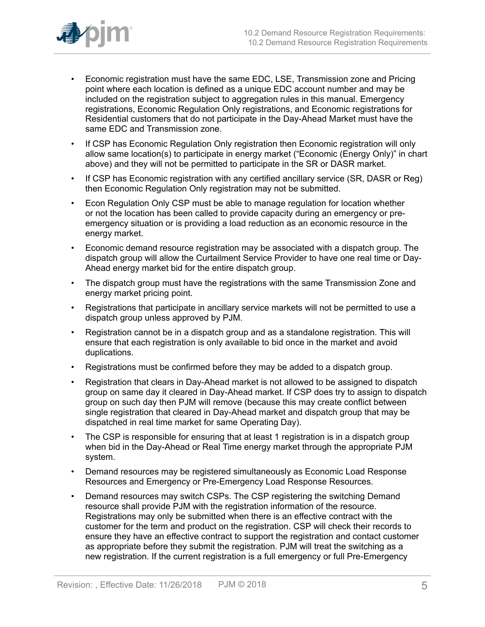

- Economic registration must have the same EDC, LSE, Transmission zone and Pricing point where each location is defined as a unique EDC account number and may be included on the registration subject to aggregation rules in this manual. Emergency registrations, Economic Regulation Only registrations, and Economic registrations for Residential customers that do not participate in the Day-Ahead Market must have the same EDC and Transmission zone.
- If CSP has Economic Regulation Only registration then Economic registration will only allow same location(s) to participate in energy market ("Economic (Energy Only)" in chart above) and they will not be permitted to participate in the SR or DASR market.
- If CSP has Economic registration with any certified ancillary service (SR, DASR or Reg) then Economic Regulation Only registration may not be submitted.
- Econ Regulation Only CSP must be able to manage regulation for location whether or not the location has been called to provide capacity during an emergency or preemergency situation or is providing a load reduction as an economic resource in the energy market.
- Economic demand resource registration may be associated with a dispatch group. The dispatch group will allow the Curtailment Service Provider to have one real time or Day-Ahead energy market bid for the entire dispatch group.
- The dispatch group must have the registrations with the same Transmission Zone and energy market pricing point.
- Registrations that participate in ancillary service markets will not be permitted to use a dispatch group unless approved by PJM.
- Registration cannot be in a dispatch group and as a standalone registration. This will ensure that each registration is only available to bid once in the market and avoid duplications.
- Registrations must be confirmed before they may be added to a dispatch group.
- Registration that clears in Day-Ahead market is not allowed to be assigned to dispatch group on same day it cleared in Day-Ahead market. If CSP does try to assign to dispatch group on such day then PJM will remove (because this may create conflict between single registration that cleared in Day-Ahead market and dispatch group that may be dispatched in real time market for same Operating Day).
- The CSP is responsible for ensuring that at least 1 registration is in a dispatch group when bid in the Day-Ahead or Real Time energy market through the appropriate PJM system.
- Demand resources may be registered simultaneously as Economic Load Response Resources and Emergency or Pre-Emergency Load Response Resources.
- Demand resources may switch CSPs. The CSP registering the switching Demand resource shall provide PJM with the registration information of the resource. Registrations may only be submitted when there is an effective contract with the customer for the term and product on the registration. CSP will check their records to ensure they have an effective contract to support the registration and contact customer as appropriate before they submit the registration. PJM will treat the switching as a new registration. If the current registration is a full emergency or full Pre-Emergency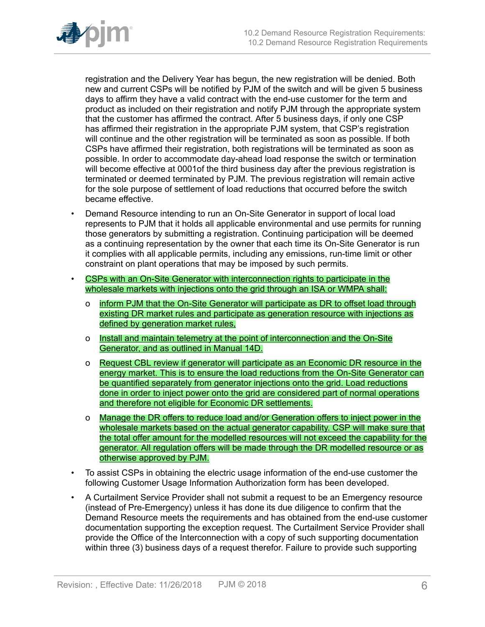

registration and the Delivery Year has begun, the new registration will be denied. Both new and current CSPs will be notified by PJM of the switch and will be given 5 business days to affirm they have a valid contract with the end-use customer for the term and product as included on their registration and notify PJM through the appropriate system that the customer has affirmed the contract. After 5 business days, if only one CSP has affirmed their registration in the appropriate PJM system, that CSP's registration will continue and the other registration will be terminated as soon as possible. If both CSPs have affirmed their registration, both registrations will be terminated as soon as possible. In order to accommodate day-ahead load response the switch or termination will become effective at 0001of the third business day after the previous registration is terminated or deemed terminated by PJM. The previous registration will remain active for the sole purpose of settlement of load reductions that occurred before the switch became effective.

- Demand Resource intending to run an On-Site Generator in support of local load represents to PJM that it holds all applicable environmental and use permits for running those generators by submitting a registration. Continuing participation will be deemed as a continuing representation by the owner that each time its On-Site Generator is run it complies with all applicable permits, including any emissions, run-time limit or other constraint on plant operations that may be imposed by such permits.
- CSPs with an On-Site Generator with interconnection rights to participate in the wholesale markets with injections onto the grid through an ISA or WMPA shall:
	- o inform PJM that the On-Site Generator will participate as DR to offset load through existing DR market rules and participate as generation resource with injections as defined by generation market rules,
	- o Install and maintain telemetry at the point of interconnection and the On-Site Generator, and as outlined in Manual 14D.
	- o Request CBL review if generator will participate as an Economic DR resource in the energy market. This is to ensure the load reductions from the On-Site Generator can be quantified separately from generator injections onto the grid. Load reductions done in order to inject power onto the grid are considered part of normal operations and therefore not eligible for Economic DR settlements.
	- o Manage the DR offers to reduce load and/or Generation offers to inject power in the wholesale markets based on the actual generator capability. CSP will make sure that the total offer amount for the modelled resources will not exceed the capability for the generator. All regulation offers will be made through the DR modelled resource or as otherwise approved by PJM.
- To assist CSPs in obtaining the electric usage information of the end-use customer the following Customer Usage Information Authorization form has been developed.
- A Curtailment Service Provider shall not submit a request to be an Emergency resource (instead of Pre-Emergency) unless it has done its due diligence to confirm that the Demand Resource meets the requirements and has obtained from the end-use customer documentation supporting the exception request. The Curtailment Service Provider shall provide the Office of the Interconnection with a copy of such supporting documentation within three (3) business days of a request therefor. Failure to provide such supporting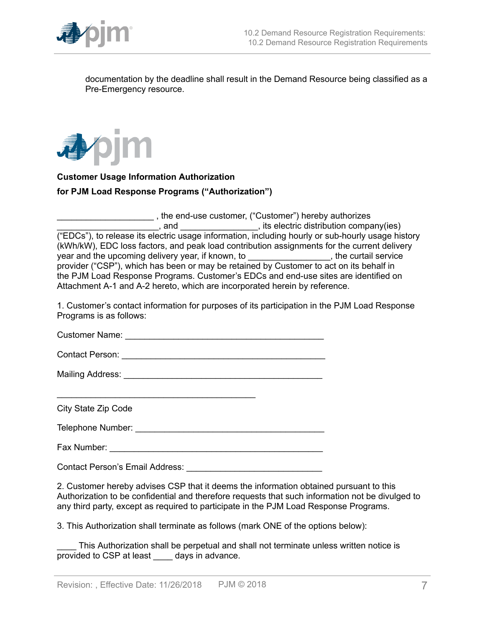

documentation by the deadline shall result in the Demand Resource being classified as a Pre-Emergency resource.



## **Customer Usage Information Authorization**

#### **for PJM Load Response Programs ("Authorization")**

\_\_\_\_\_\_\_\_\_\_\_\_\_\_\_\_\_\_\_\_ , the end-use customer, ("Customer") hereby authorizes \_\_\_\_\_\_, and \_\_\_\_\_\_\_\_\_\_\_\_\_\_\_\_\_\_\_\_, its electric distribution company(ies) ("EDCs"), to release its electric usage information, including hourly or sub-hourly usage history (kWh/kW), EDC loss factors, and peak load contribution assignments for the current delivery year and the upcoming delivery year, if known, to \_\_\_\_\_\_\_\_\_\_\_\_\_\_\_\_\_\_\_, the curtail service provider ("CSP"), which has been or may be retained by Customer to act on its behalf in the PJM Load Response Programs. Customer's EDCs and end-use sites are identified on Attachment A-1 and A-2 hereto, which are incorporated herein by reference.

1. Customer's contact information for purposes of its participation in the PJM Load Response Programs is as follows:

Customer Name: \_\_\_\_\_\_\_\_\_\_\_\_\_\_\_\_\_\_\_\_\_\_\_\_\_\_\_\_\_\_\_\_\_\_\_\_\_\_\_\_\_

Contact Person: \_\_\_\_\_\_\_\_\_\_\_\_\_\_\_\_\_\_\_\_\_\_\_\_\_\_\_\_\_\_\_\_\_\_\_\_\_\_\_\_\_\_

\_\_\_\_\_\_\_\_\_\_\_\_\_\_\_\_\_\_\_\_\_\_\_\_\_\_\_\_\_\_\_\_\_\_\_\_\_\_\_\_\_

Mailing Address: \_\_\_\_\_\_\_\_\_\_\_\_\_\_\_\_\_\_\_\_\_\_\_\_\_\_\_\_\_\_\_\_\_\_\_\_\_\_\_\_\_

City State Zip Code

Telephone Number: \_\_\_\_\_\_\_\_\_\_\_\_\_\_\_\_\_\_\_\_\_\_\_\_\_\_\_\_\_\_\_\_\_\_\_\_\_\_\_

Fax Number: \_\_\_\_\_\_\_\_\_\_\_\_\_\_\_\_\_\_\_\_\_\_\_\_\_\_\_\_\_\_\_\_\_\_\_\_\_\_\_\_\_\_\_\_

Contact Person's Email Address:

2. Customer hereby advises CSP that it deems the information obtained pursuant to this Authorization to be confidential and therefore requests that such information not be divulged to any third party, except as required to participate in the PJM Load Response Programs.

3. This Authorization shall terminate as follows (mark ONE of the options below):

\_\_\_\_ This Authorization shall be perpetual and shall not terminate unless written notice is provided to CSP at least \_\_\_\_ days in advance.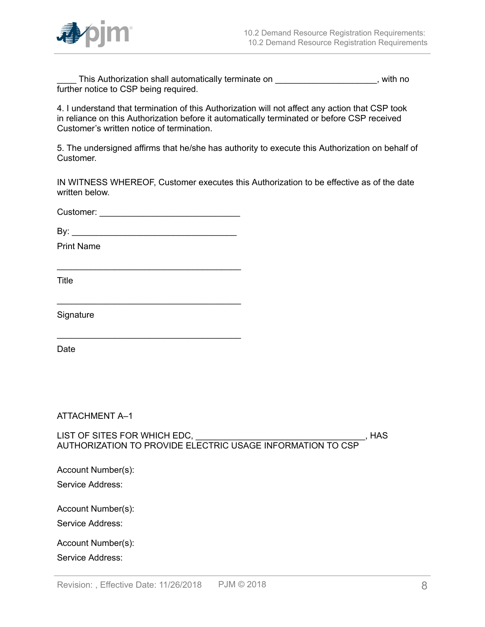

This Authorization shall automatically terminate on This Authorization shall automatically terminate on further notice to CSP being required.

4. I understand that termination of this Authorization will not affect any action that CSP took in reliance on this Authorization before it automatically terminated or before CSP received Customer's written notice of termination.

5. The undersigned affirms that he/she has authority to execute this Authorization on behalf of Customer.

IN WITNESS WHEREOF, Customer executes this Authorization to be effective as of the date written below.

Customer: \_\_\_\_\_\_\_\_\_\_\_\_\_\_\_\_\_\_\_\_\_\_\_\_\_\_\_\_\_

\_\_\_\_\_\_\_\_\_\_\_\_\_\_\_\_\_\_\_\_\_\_\_\_\_\_\_\_\_\_\_\_\_\_\_\_\_\_

\_\_\_\_\_\_\_\_\_\_\_\_\_\_\_\_\_\_\_\_\_\_\_\_\_\_\_\_\_\_\_\_\_\_\_\_\_\_

\_\_\_\_\_\_\_\_\_\_\_\_\_\_\_\_\_\_\_\_\_\_\_\_\_\_\_\_\_\_\_\_\_\_\_\_\_\_

 $\mathsf{By:}$ 

Print Name

**Title** 

**Signature** 

Date

ATTACHMENT A–1

LIST OF SITES FOR WHICH EDC, \_\_\_\_\_\_\_\_\_\_\_\_\_\_\_\_\_\_\_\_\_\_\_\_\_\_\_\_\_\_\_\_\_\_\_, HAS AUTHORIZATION TO PROVIDE ELECTRIC USAGE INFORMATION TO CSP

Account Number(s):

Service Address:

Account Number(s):

Service Address:

Account Number(s):

Service Address: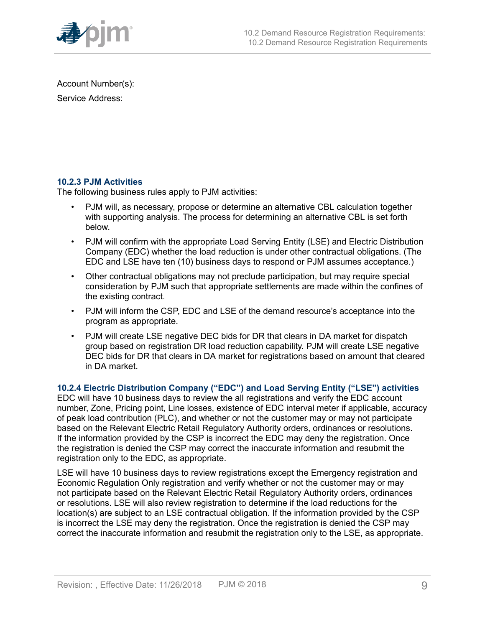

Account Number(s):

Service Address:

# **10.2.3 PJM Activities**

The following business rules apply to PJM activities:

- PJM will, as necessary, propose or determine an alternative CBL calculation together with supporting analysis. The process for determining an alternative CBL is set forth below.
- PJM will confirm with the appropriate Load Serving Entity (LSE) and Electric Distribution Company (EDC) whether the load reduction is under other contractual obligations. (The EDC and LSE have ten (10) business days to respond or PJM assumes acceptance.)
- Other contractual obligations may not preclude participation, but may require special consideration by PJM such that appropriate settlements are made within the confines of the existing contract.
- PJM will inform the CSP, EDC and LSE of the demand resource's acceptance into the program as appropriate.
- PJM will create LSE negative DEC bids for DR that clears in DA market for dispatch group based on registration DR load reduction capability. PJM will create LSE negative DEC bids for DR that clears in DA market for registrations based on amount that cleared in DA market.

# **10.2.4 Electric Distribution Company ("EDC") and Load Serving Entity ("LSE") activities**

EDC will have 10 business days to review the all registrations and verify the EDC account number, Zone, Pricing point, Line losses, existence of EDC interval meter if applicable, accuracy of peak load contribution (PLC), and whether or not the customer may or may not participate based on the Relevant Electric Retail Regulatory Authority orders, ordinances or resolutions. If the information provided by the CSP is incorrect the EDC may deny the registration. Once the registration is denied the CSP may correct the inaccurate information and resubmit the registration only to the EDC, as appropriate.

LSE will have 10 business days to review registrations except the Emergency registration and Economic Regulation Only registration and verify whether or not the customer may or may not participate based on the Relevant Electric Retail Regulatory Authority orders, ordinances or resolutions. LSE will also review registration to determine if the load reductions for the location(s) are subject to an LSE contractual obligation. If the information provided by the CSP is incorrect the LSE may deny the registration. Once the registration is denied the CSP may correct the inaccurate information and resubmit the registration only to the LSE, as appropriate.